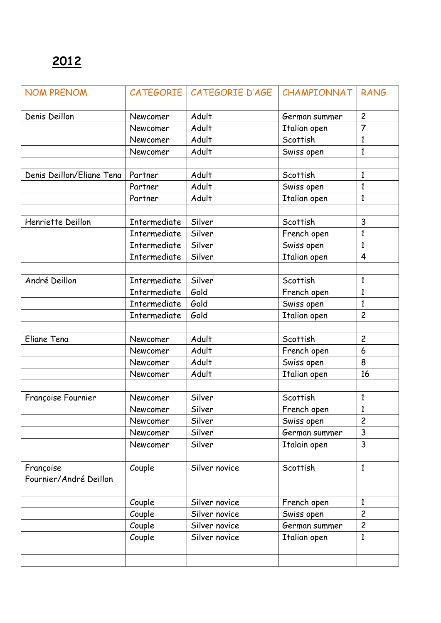| <b>NOM PRENOM</b>                   |              | CATEGORIE CATEGORIE D'AGE | CHAMPIONNAT   | <b>RANG</b>    |
|-------------------------------------|--------------|---------------------------|---------------|----------------|
| Denis Deillon                       | Newcomer     | Adult<br>German summer    |               | $\overline{c}$ |
|                                     | Newcomer     | Adult                     | Italian open  | $\overline{7}$ |
|                                     | Newcomer     | Adult                     | Scottish      | 1              |
|                                     | Newcomer     | Adult                     | Swiss open    | $\mathbf{1}$   |
|                                     |              |                           |               |                |
| Denis Deillon/Eliane Tena           | Partner      | Adult                     | Scottish      | $\mathbf{1}$   |
|                                     | Partner      | Adult                     | Swiss open    | $\mathbf{1}$   |
|                                     | Partner      | Adult                     | Italian open  | $\mathbf{1}$   |
|                                     |              |                           |               |                |
| Henriette Deillon                   | Intermediate | Silver                    | Scottish      | 3              |
|                                     | Intermediate | Silver                    | French open   | $\mathbf{1}$   |
|                                     | Intermediate | Silver                    | Swiss open    | $\mathbf{1}$   |
|                                     | Intermediate | Silver                    | Italian open  | $\overline{4}$ |
|                                     |              |                           |               |                |
| André Deillon                       | Intermediate | Silver                    | Scottish      | $\mathbf{1}$   |
|                                     | Intermediate | Gold                      | French open   | $\mathbf{1}$   |
|                                     | Intermediate | Gold                      | Swiss open    | 1              |
|                                     | Intermediate | Gold                      | Italian open  | $\overline{c}$ |
|                                     |              |                           |               |                |
| Eliane Tena                         | Newcomer     | Adult                     | Scottish      | $\overline{c}$ |
|                                     | Newcomer     | Adult                     | French open   | 6              |
|                                     | Newcomer     | Adult                     | Swiss open    | 8              |
|                                     | Newcomer     | Adult                     | Italian open  | 16             |
|                                     |              |                           |               |                |
| Françoise Fournier                  | Newcomer     | Silver                    | Scottish      | $\mathbf{1}$   |
|                                     | Newcomer     | Silver                    | French open   | $\mathbf{1}$   |
|                                     | Newcomer     | Silver                    | Swiss open    | $\overline{c}$ |
|                                     | Newcomer     | Silver                    | German summer | 3              |
|                                     | Newcomer     | Silver                    | Italain open  | 3              |
|                                     |              |                           |               |                |
| Françoise<br>Fournier/André Deillon | Couple       | Silver novice             | Scottish      | $\mathbf{1}$   |
|                                     | Couple       | Silver novice             | French open   | $\mathbf{1}$   |
|                                     | Couple       | Silver novice             | Swiss open    | $\overline{c}$ |
|                                     | Couple       | Silver novice             | German summer | $\overline{2}$ |
|                                     | Couple       | Silver novice             | Italian open  | $\mathbf{1}$   |
|                                     |              |                           |               |                |
|                                     |              |                           |               |                |